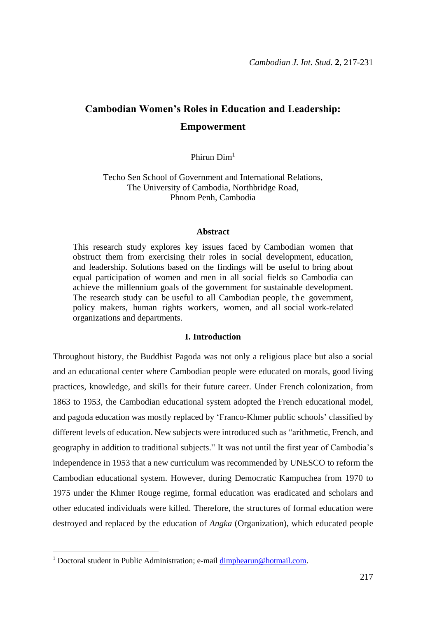# **Cambodian Women's Roles in Education and Leadership: Empowerment**

Phirun Dim<sup>1</sup>

Techo Sen School of Government and International Relations, The University of Cambodia, Northbridge Road, Phnom Penh, Cambodia

### **Abstract**

This research study explores key issues faced by Cambodian women that obstruct them from exercising their roles in social development, education, and leadership. Solutions based on the findings will be useful to bring about equal participation of women and men in all social fields so Cambodia can achieve the millennium goals of the government for sustainable development. The research study can be useful to all Cambodian people, the government, policy makers, human rights workers, women, and all social work-related organizations and departments.

### **I. Introduction**

Throughout history, the Buddhist Pagoda was not only a religious place but also a social and an educational center where Cambodian people were educated on morals, good living practices, knowledge, and skills for their future career. Under French colonization, from 1863 to 1953, the Cambodian educational system adopted the French educational model, and pagoda education was mostly replaced by 'Franco-Khmer public schools' classified by different levels of education. New subjects were introduced such as "arithmetic, French, and geography in addition to traditional subjects." It was not until the first year of Cambodia's independence in 1953 that a new curriculum was recommended by UNESCO to reform the Cambodian educational system. However, during Democratic Kampuchea from 1970 to 1975 under the Khmer Rouge regime, formal education was eradicated and scholars and other educated individuals were killed. Therefore, the structures of formal education were destroyed and replaced by the education of *Angka* (Organization), which educated people

<u>.</u>

<sup>&</sup>lt;sup>1</sup> Doctoral student in Public Administration; e-mail [dimphearun@hotmail.com.](mailto:dimphearun@hotmail.com)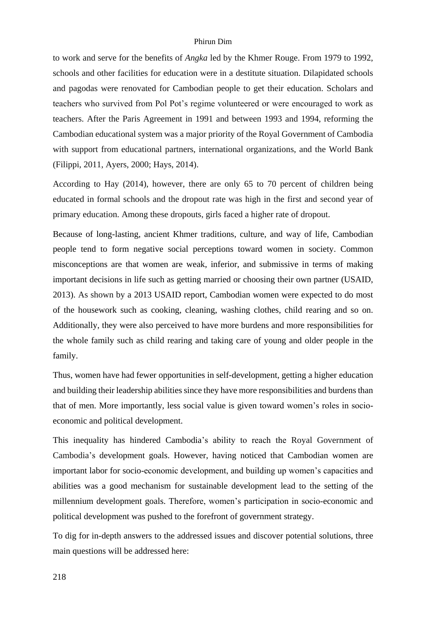to work and serve for the benefits of *Angka* led by the Khmer Rouge. From 1979 to 1992, schools and other facilities for education were in a destitute situation. Dilapidated schools and pagodas were renovated for Cambodian people to get their education. Scholars and teachers who survived from Pol Pot's regime volunteered or were encouraged to work as teachers. After the Paris Agreement in 1991 and between 1993 and 1994, reforming the Cambodian educational system was a major priority of the Royal Government of Cambodia with support from educational partners, international organizations, and the World Bank (Filippi, 2011, Ayers, 2000; Hays, 2014).

According to Hay (2014), however, there are only 65 to 70 percent of children being educated in formal schools and the dropout rate was high in the first and second year of primary education. Among these dropouts, girls faced a higher rate of dropout.

Because of long-lasting, ancient Khmer traditions, culture, and way of life, Cambodian people tend to form negative social perceptions toward women in society. Common misconceptions are that women are weak, inferior, and submissive in terms of making important decisions in life such as getting married or choosing their own partner (USAID, 2013). As shown by a 2013 USAID report, Cambodian women were expected to do most of the housework such as cooking, cleaning, washing clothes, child rearing and so on. Additionally, they were also perceived to have more burdens and more responsibilities for the whole family such as child rearing and taking care of young and older people in the family.

Thus, women have had fewer opportunities in self-development, getting a higher education and building their leadership abilities since they have more responsibilities and burdens than that of men. More importantly, less social value is given toward women's roles in socioeconomic and political development.

This inequality has hindered Cambodia's ability to reach the Royal Government of Cambodia's development goals. However, having noticed that Cambodian women are important labor for socio-economic development, and building up women's capacities and abilities was a good mechanism for sustainable development lead to the setting of the millennium development goals. Therefore, women's participation in socio-economic and political development was pushed to the forefront of government strategy.

To dig for in-depth answers to the addressed issues and discover potential solutions, three main questions will be addressed here: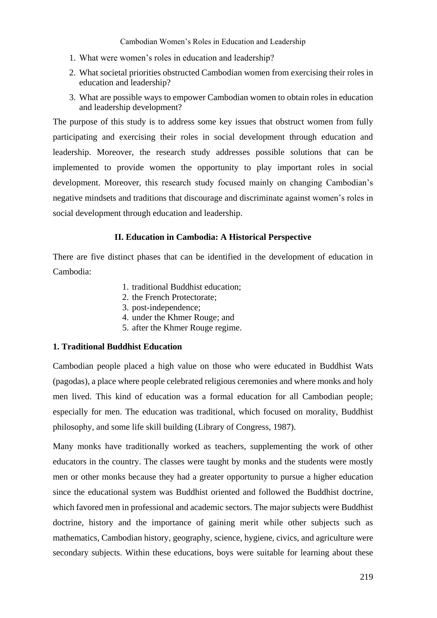- 1. What were women's roles in education and leadership?
- 2. What societal priorities obstructed Cambodian women from exercising their roles in education and leadership?
- 3. What are possible ways to empower Cambodian women to obtain roles in education and leadership development?

The purpose of this study is to address some key issues that obstruct women from fully participating and exercising their roles in social development through education and leadership. Moreover, the research study addresses possible solutions that can be implemented to provide women the opportunity to play important roles in social development. Moreover, this research study focused mainly on changing Cambodian's negative mindsets and traditions that discourage and discriminate against women's roles in social development through education and leadership.

### **II. Education in Cambodia: A Historical Perspective**

There are five distinct phases that can be identified in the development of education in Cambodia:

- 1. traditional Buddhist education;
- 2. the French Protectorate;
- 3. post-independence;
- 4. under the Khmer Rouge; and
- 5. after the Khmer Rouge regime.

### **1. Traditional Buddhist Education**

Cambodian people placed a high value on those who were educated in Buddhist Wats (pagodas), a place where people celebrated religious ceremonies and where monks and holy men lived. This kind of education was a formal education for all Cambodian people; especially for men. The education was traditional, which focused on morality, Buddhist philosophy, and some life skill building (Library of Congress, 1987).

Many monks have traditionally worked as teachers, supplementing the work of other educators in the country. The classes were taught by monks and the students were mostly men or other monks because they had a greater opportunity to pursue a higher education since the educational system was Buddhist oriented and followed the Buddhist doctrine, which favored men in professional and academic sectors. The major subjects were Buddhist doctrine, history and the importance of gaining merit while other subjects such as mathematics, Cambodian history, geography, science, hygiene, civics, and agriculture were secondary subjects. Within these educations, boys were suitable for learning about these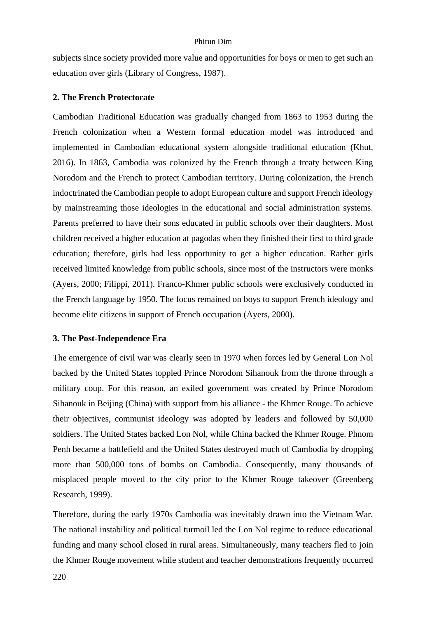subjects since society provided more value and opportunities for boys or men to get such an education over girls (Library of Congress, 1987).

### **2. The French Protectorate**

Cambodian Traditional Education was gradually changed from 1863 to 1953 during the French colonization when a Western formal education model was introduced and implemented in Cambodian educational system alongside traditional education (Khut, 2016). In 1863, Cambodia was colonized by the French through a treaty between King Norodom and the French to protect Cambodian territory. During colonization, the French indoctrinated the Cambodian people to adopt European culture and support French ideology by mainstreaming those ideologies in the educational and social administration systems. Parents preferred to have their sons educated in public schools over their daughters. Most children received a higher education at pagodas when they finished their first to third grade education; therefore, girls had less opportunity to get a higher education. Rather girls received limited knowledge from public schools, since most of the instructors were monks (Ayers, 2000; Filippi, 2011). Franco-Khmer public schools were exclusively conducted in the French language by 1950. The focus remained on boys to support French ideology and become elite citizens in support of French occupation (Ayers, 2000).

### **3. The Post-Independence Era**

The emergence of civil war was clearly seen in 1970 when forces led by General Lon Nol backed by the United States toppled Prince Norodom Sihanouk from the throne through a military coup. For this reason, an exiled government was created by Prince Norodom Sihanouk in Beijing (China) with support from his alliance - the Khmer Rouge. To achieve their objectives, communist ideology was adopted by leaders and followed by 50,000 soldiers. The United States backed Lon Nol, while China backed the Khmer Rouge. Phnom Penh became a battlefield and the United States destroyed much of Cambodia by dropping more than 500,000 tons of bombs on Cambodia. Consequently, many thousands of misplaced people moved to the city prior to the Khmer Rouge takeover (Greenberg Research, 1999).

Therefore, during the early 1970s Cambodia was inevitably drawn into the Vietnam War. The national instability and political turmoil led the Lon Nol regime to reduce educational funding and many school closed in rural areas. Simultaneously, many teachers fled to join the Khmer Rouge movement while student and teacher demonstrations frequently occurred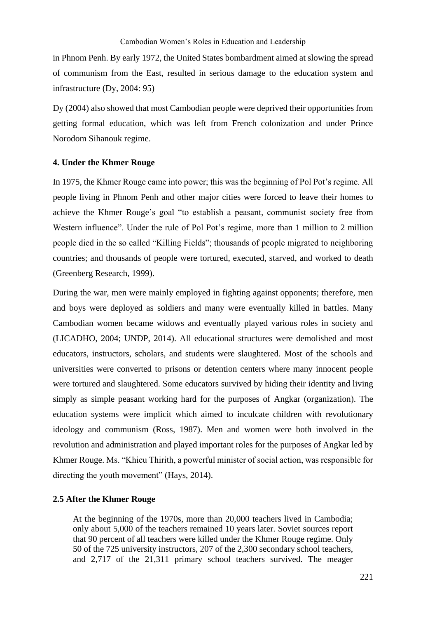in Phnom Penh. By early 1972, the United States bombardment aimed at slowing the spread of communism from the East, resulted in serious damage to the education system and infrastructure (Dy, 2004: 95)

Dy (2004) also showed that most Cambodian people were deprived their opportunities from getting formal education, which was left from French colonization and under Prince Norodom Sihanouk regime.

### **4. Under the Khmer Rouge**

In 1975, the Khmer Rouge came into power; this was the beginning of Pol Pot's regime. All people living in Phnom Penh and other major cities were forced to leave their homes to achieve the Khmer Rouge's goal "to establish a peasant, communist society free from Western influence". Under the rule of Pol Pot's regime, more than 1 million to 2 million people died in the so called "Killing Fields"; thousands of people migrated to neighboring countries; and thousands of people were tortured, executed, starved, and worked to death (Greenberg Research, 1999).

During the war, men were mainly employed in fighting against opponents; therefore, men and boys were deployed as soldiers and many were eventually killed in battles. Many Cambodian women became widows and eventually played various roles in society and (LICADHO, 2004; UNDP, 2014). All educational structures were demolished and most educators, instructors, scholars, and students were slaughtered. Most of the schools and universities were converted to prisons or detention centers where many innocent people were tortured and slaughtered. Some educators survived by hiding their identity and living simply as simple peasant working hard for the purposes of Angkar (organization). The education systems were implicit which aimed to inculcate children with revolutionary ideology and communism (Ross, 1987). Men and women were both involved in the revolution and administration and played important roles for the purposes of Angkar led by Khmer Rouge. Ms. "Khieu Thirith, a powerful minister of social action, was responsible for directing the youth movement" (Hays, 2014).

### **2.5 After the Khmer Rouge**

At the beginning of the 1970s, more than 20,000 teachers lived in Cambodia; only about 5,000 of the teachers remained 10 years later. Soviet sources report that 90 percent of all teachers were killed under the Khmer Rouge regime. Only 50 of the 725 university instructors, 207 of the 2,300 secondary school teachers, and 2,717 of the 21,311 primary school teachers survived. The meager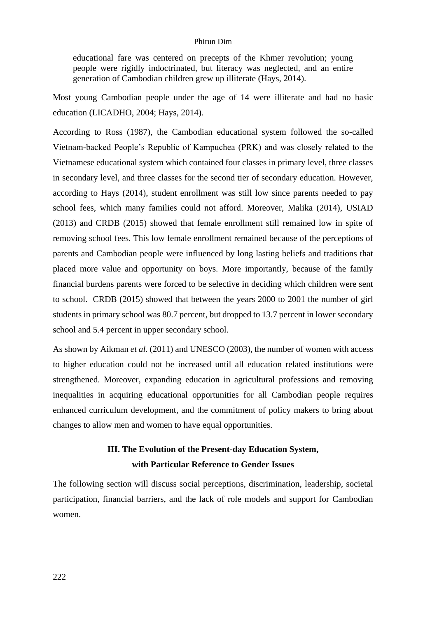educational fare was centered on precepts of the Khmer revolution; young people were rigidly indoctrinated, but literacy was neglected, and an entire generation of Cambodian children grew up illiterate (Hays, 2014).

Most young Cambodian people under the age of 14 were illiterate and had no basic education (LICADHO, 2004; Hays, 2014).

According to Ross (1987), the Cambodian educational system followed the so-called Vietnam-backed People's Republic of Kampuchea (PRK) and was closely related to the Vietnamese educational system which contained four classes in primary level, three classes in secondary level, and three classes for the second tier of secondary education. However, according to Hays (2014), student enrollment was still low since parents needed to pay school fees, which many families could not afford. Moreover, Malika (2014), USIAD (2013) and CRDB (2015) showed that female enrollment still remained low in spite of removing school fees. This low female enrollment remained because of the perceptions of parents and Cambodian people were influenced by long lasting beliefs and traditions that placed more value and opportunity on boys. More importantly, because of the family financial burdens parents were forced to be selective in deciding which children were sent to school. CRDB (2015) showed that between the years 2000 to 2001 the number of girl students in primary school was 80.7 percent, but dropped to 13.7 percent in lower secondary school and 5.4 percent in upper secondary school.

As shown by Aikman *et al.* (2011) and UNESCO (2003), the number of women with access to higher education could not be increased until all education related institutions were strengthened. Moreover, expanding education in agricultural professions and removing inequalities in acquiring educational opportunities for all Cambodian people requires enhanced curriculum development, and the commitment of policy makers to bring about changes to allow men and women to have equal opportunities.

## **III. The Evolution of the Present-day Education System, with Particular Reference to Gender Issues**

The following section will discuss social perceptions, discrimination, leadership, societal participation, financial barriers, and the lack of role models and support for Cambodian women.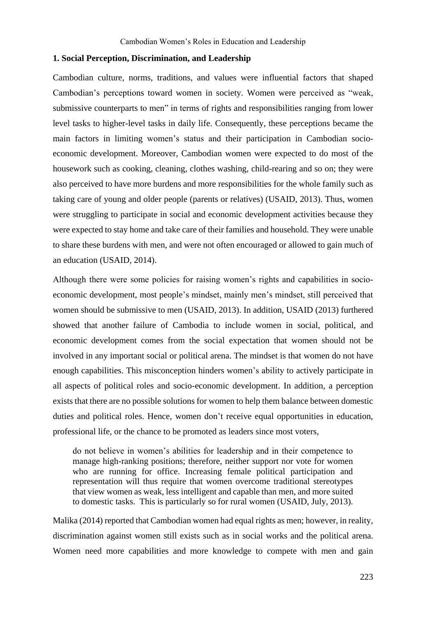### **1. Social Perception, Discrimination, and Leadership**

Cambodian culture, norms, traditions, and values were influential factors that shaped Cambodian's perceptions toward women in society. Women were perceived as "weak, submissive counterparts to men" in terms of rights and responsibilities ranging from lower level tasks to higher-level tasks in daily life. Consequently, these perceptions became the main factors in limiting women's status and their participation in Cambodian socioeconomic development. Moreover, Cambodian women were expected to do most of the housework such as cooking, cleaning, clothes washing, child-rearing and so on; they were also perceived to have more burdens and more responsibilities for the whole family such as taking care of young and older people (parents or relatives) (USAID, 2013). Thus, women were struggling to participate in social and economic development activities because they were expected to stay home and take care of their families and household. They were unable to share these burdens with men, and were not often encouraged or allowed to gain much of an education (USAID, 2014).

Although there were some policies for raising women's rights and capabilities in socioeconomic development, most people's mindset, mainly men's mindset, still perceived that women should be submissive to men (USAID, 2013). In addition, USAID (2013) furthered showed that another failure of Cambodia to include women in social, political, and economic development comes from the social expectation that women should not be involved in any important social or political arena. The mindset is that women do not have enough capabilities. This misconception hinders women's ability to actively participate in all aspects of political roles and socio-economic development. In addition, a perception exists that there are no possible solutions for women to help them balance between domestic duties and political roles. Hence, women don't receive equal opportunities in education, professional life, or the chance to be promoted as leaders since most voters,

do not believe in women's abilities for leadership and in their competence to manage high-ranking positions; therefore, neither support nor vote for women who are running for office. Increasing female political participation and representation will thus require that women overcome traditional stereotypes that view women as weak, less intelligent and capable than men, and more suited to domestic tasks. This is particularly so for rural women (USAID, July, 2013).

Malika (2014) reported that Cambodian women had equal rights as men; however, in reality, discrimination against women still exists such as in social works and the political arena. Women need more capabilities and more knowledge to compete with men and gain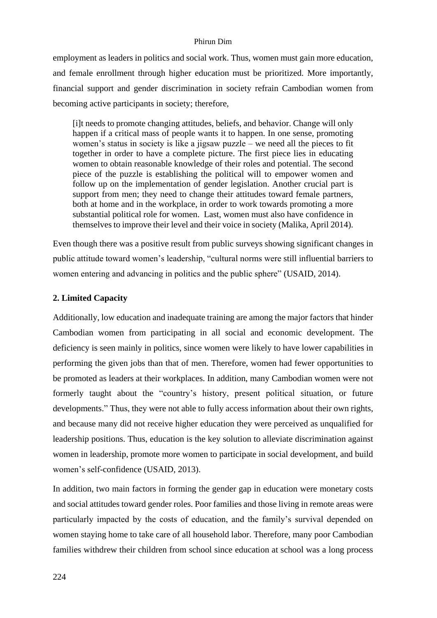employment as leaders in politics and social work. Thus, women must gain more education, and female enrollment through higher education must be prioritized. More importantly, financial support and gender discrimination in society refrain Cambodian women from becoming active participants in society; therefore,

[i]t needs to promote changing attitudes, beliefs, and behavior. Change will only happen if a critical mass of people wants it to happen. In one sense, promoting women's status in society is like a jigsaw puzzle – we need all the pieces to fit together in order to have a complete picture. The first piece lies in educating women to obtain reasonable knowledge of their roles and potential. The second piece of the puzzle is establishing the political will to empower women and follow up on the implementation of gender legislation. Another crucial part is support from men; they need to change their attitudes toward female partners, both at home and in the workplace, in order to work towards promoting a more substantial political role for women. Last, women must also have confidence in themselves to improve their level and their voice in society (Malika, April 2014).

Even though there was a positive result from public surveys showing significant changes in public attitude toward women's leadership, "cultural norms were still influential barriers to women entering and advancing in politics and the public sphere" (USAID, 2014).

### **2. Limited Capacity**

Additionally, low education and inadequate training are among the major factors that hinder Cambodian women from participating in all social and economic development. The deficiency is seen mainly in politics, since women were likely to have lower capabilities in performing the given jobs than that of men. Therefore, women had fewer opportunities to be promoted as leaders at their workplaces. In addition, many Cambodian women were not formerly taught about the "country's history, present political situation, or future developments." Thus, they were not able to fully access information about their own rights, and because many did not receive higher education they were perceived as unqualified for leadership positions. Thus, education is the key solution to alleviate discrimination against women in leadership, promote more women to participate in social development, and build women's self-confidence (USAID, 2013).

In addition, two main factors in forming the gender gap in education were monetary costs and social attitudes toward gender roles. Poor families and those living in remote areas were particularly impacted by the costs of education, and the family's survival depended on women staying home to take care of all household labor. Therefore, many poor Cambodian families withdrew their children from school since education at school was a long process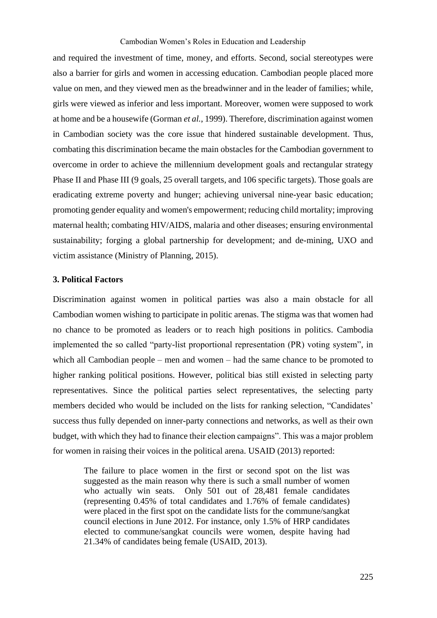### Cambodian Women's Roles in Education and Leadership

and required the investment of time, money, and efforts. Second, social stereotypes were also a barrier for girls and women in accessing education. Cambodian people placed more value on men, and they viewed men as the breadwinner and in the leader of families; while, girls were viewed as inferior and less important. Moreover, women were supposed to work at home and be a housewife (Gorman *et al.*, 1999). Therefore, discrimination against women in Cambodian society was the core issue that hindered sustainable development. Thus, combating this discrimination became the main obstacles for the Cambodian government to overcome in order to achieve the millennium development goals and rectangular strategy Phase II and Phase III (9 goals, 25 overall targets, and 106 specific targets). Those goals are eradicating extreme poverty and hunger; achieving universal nine-year basic education; promoting gender equality and women's empowerment; reducing child mortality; improving maternal health; combating HIV/AIDS, malaria and other diseases; ensuring environmental sustainability; forging a global partnership for development; and de-mining, UXO and victim assistance (Ministry of Planning, 2015).

### **3. Political Factors**

Discrimination against women in political parties was also a main obstacle for all Cambodian women wishing to participate in politic arenas. The stigma was that women had no chance to be promoted as leaders or to reach high positions in politics. Cambodia implemented the so called "party-list proportional representation (PR) voting system", in which all Cambodian people – men and women – had the same chance to be promoted to higher ranking political positions. However, political bias still existed in selecting party representatives. Since the political parties select representatives, the selecting party members decided who would be included on the lists for ranking selection, "Candidates' success thus fully depended on inner-party connections and networks, as well as their own budget, with which they had to finance their election campaigns". This was a major problem for women in raising their voices in the political arena. USAID (2013) reported:

The failure to place women in the first or second spot on the list was suggested as the main reason why there is such a small number of women who actually win seats. Only 501 out of 28,481 female candidates (representing 0.45% of total candidates and 1.76% of female candidates) were placed in the first spot on the candidate lists for the commune/sangkat council elections in June 2012. For instance, only 1.5% of HRP candidates elected to commune/sangkat councils were women, despite having had 21.34% of candidates being female (USAID, 2013).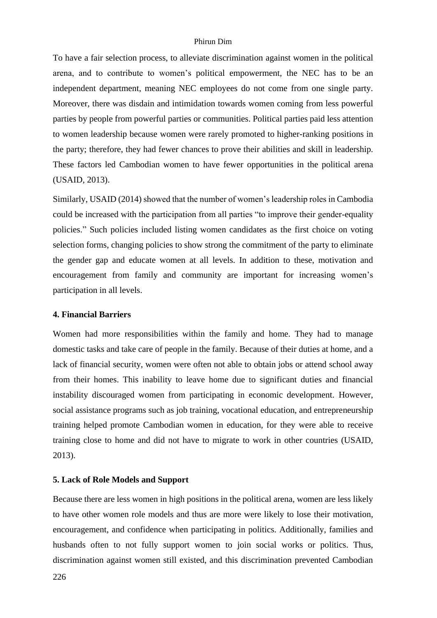To have a fair selection process, to alleviate discrimination against women in the political arena, and to contribute to women's political empowerment, the NEC has to be an independent department, meaning NEC employees do not come from one single party. Moreover, there was disdain and intimidation towards women coming from less powerful parties by people from powerful parties or communities. Political parties paid less attention to women leadership because women were rarely promoted to higher-ranking positions in the party; therefore, they had fewer chances to prove their abilities and skill in leadership. These factors led Cambodian women to have fewer opportunities in the political arena (USAID, 2013).

Similarly, USAID (2014) showed that the number of women's leadership roles in Cambodia could be increased with the participation from all parties "to improve their gender-equality policies." Such policies included listing women candidates as the first choice on voting selection forms, changing policies to show strong the commitment of the party to eliminate the gender gap and educate women at all levels. In addition to these, motivation and encouragement from family and community are important for increasing women's participation in all levels.

### **4. Financial Barriers**

Women had more responsibilities within the family and home. They had to manage domestic tasks and take care of people in the family. Because of their duties at home, and a lack of financial security, women were often not able to obtain jobs or attend school away from their homes. This inability to leave home due to significant duties and financial instability discouraged women from participating in economic development. However, social assistance programs such as job training, vocational education, and entrepreneurship training helped promote Cambodian women in education, for they were able to receive training close to home and did not have to migrate to work in other countries (USAID, 2013).

### **5. Lack of Role Models and Support**

Because there are less women in high positions in the political arena, women are less likely to have other women role models and thus are more were likely to lose their motivation, encouragement, and confidence when participating in politics. Additionally, families and husbands often to not fully support women to join social works or politics. Thus, discrimination against women still existed, and this discrimination prevented Cambodian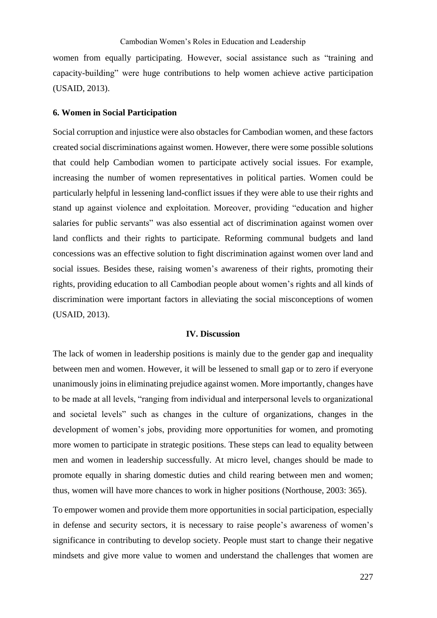women from equally participating. However, social assistance such as "training and capacity-building" were huge contributions to help women achieve active participation (USAID, 2013).

### **6. Women in Social Participation**

Social corruption and injustice were also obstacles for Cambodian women, and these factors created social discriminations against women. However, there were some possible solutions that could help Cambodian women to participate actively social issues. For example, increasing the number of women representatives in political parties. Women could be particularly helpful in lessening land-conflict issues if they were able to use their rights and stand up against violence and exploitation. Moreover, providing "education and higher salaries for public servants" was also essential act of discrimination against women over land conflicts and their rights to participate. Reforming communal budgets and land concessions was an effective solution to fight discrimination against women over land and social issues. Besides these, raising women's awareness of their rights, promoting their rights, providing education to all Cambodian people about women's rights and all kinds of discrimination were important factors in alleviating the social misconceptions of women (USAID, 2013).

### **IV. Discussion**

The lack of women in leadership positions is mainly due to the gender gap and inequality between men and women. However, it will be lessened to small gap or to zero if everyone unanimously joins in eliminating prejudice against women. More importantly, changes have to be made at all levels, "ranging from individual and interpersonal levels to organizational and societal levels" such as changes in the culture of organizations, changes in the development of women's jobs, providing more opportunities for women, and promoting more women to participate in strategic positions. These steps can lead to equality between men and women in leadership successfully. At micro level, changes should be made to promote equally in sharing domestic duties and child rearing between men and women; thus, women will have more chances to work in higher positions (Northouse, 2003: 365).

To empower women and provide them more opportunities in social participation, especially in defense and security sectors, it is necessary to raise people's awareness of women's significance in contributing to develop society. People must start to change their negative mindsets and give more value to women and understand the challenges that women are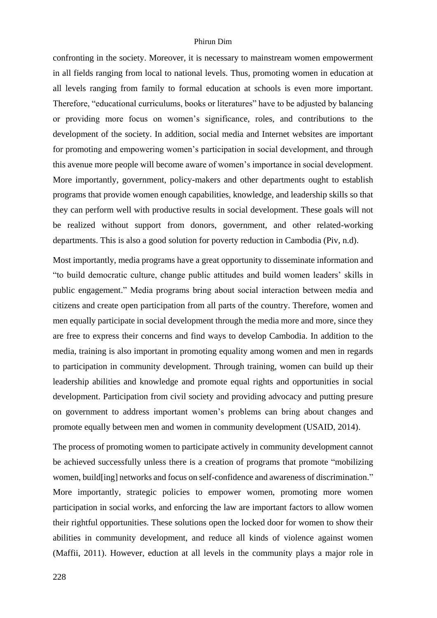confronting in the society. Moreover, it is necessary to mainstream women empowerment in all fields ranging from local to national levels. Thus, promoting women in education at all levels ranging from family to formal education at schools is even more important. Therefore, "educational curriculums, books or literatures" have to be adjusted by balancing or providing more focus on women's significance, roles, and contributions to the development of the society. In addition, social media and Internet websites are important for promoting and empowering women's participation in social development, and through this avenue more people will become aware of women's importance in social development. More importantly, government, policy-makers and other departments ought to establish programs that provide women enough capabilities, knowledge, and leadership skills so that they can perform well with productive results in social development. These goals will not be realized without support from donors, government, and other related-working departments. This is also a good solution for poverty reduction in Cambodia (Piv, n.d).

Most importantly, media programs have a great opportunity to disseminate information and "to build democratic culture, change public attitudes and build women leaders' skills in public engagement." Media programs bring about social interaction between media and citizens and create open participation from all parts of the country. Therefore, women and men equally participate in social development through the media more and more, since they are free to express their concerns and find ways to develop Cambodia. In addition to the media, training is also important in promoting equality among women and men in regards to participation in community development. Through training, women can build up their leadership abilities and knowledge and promote equal rights and opportunities in social development. Participation from civil society and providing advocacy and putting presure on government to address important women's problems can bring about changes and promote equally between men and women in community development (USAID, 2014).

The process of promoting women to participate actively in community development cannot be achieved successfully unless there is a creation of programs that promote "mobilizing women, build[ing] networks and focus on self-confidence and awareness of discrimination." More importantly, strategic policies to empower women, promoting more women participation in social works, and enforcing the law are important factors to allow women their rightful opportunities. These solutions open the locked door for women to show their abilities in community development, and reduce all kinds of violence against women (Maffii, 2011). However, eduction at all levels in the community plays a major role in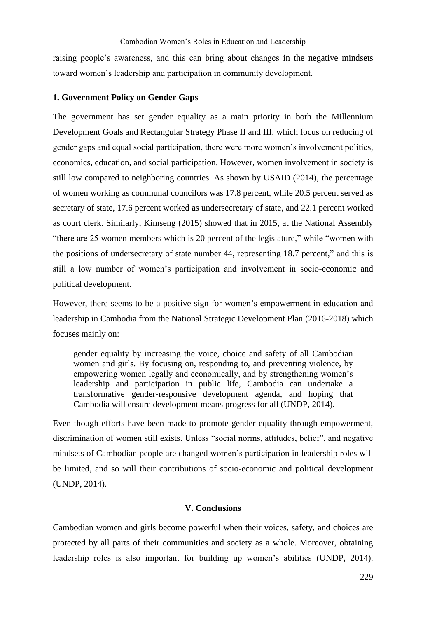### Cambodian Women's Roles in Education and Leadership

raising people's awareness, and this can bring about changes in the negative mindsets toward women's leadership and participation in community development.

### **1. Government Policy on Gender Gaps**

The government has set gender equality as a main priority in both the Millennium Development Goals and Rectangular Strategy Phase II and III, which focus on reducing of gender gaps and equal social participation, there were more women's involvement politics, economics, education, and social participation. However, women involvement in society is still low compared to neighboring countries. As shown by USAID (2014), the percentage of women working as communal councilors was 17.8 percent, while 20.5 percent served as secretary of state, 17.6 percent worked as undersecretary of state, and 22.1 percent worked as court clerk. Similarly, Kimseng (2015) showed that in 2015, at the National Assembly "there are 25 women members which is 20 percent of the legislature," while "women with the positions of undersecretary of state number 44, representing 18.7 percent," and this is still a low number of women's participation and involvement in socio-economic and political development.

However, there seems to be a positive sign for women's empowerment in education and leadership in Cambodia from the National Strategic Development Plan (2016-2018) which focuses mainly on:

gender equality by increasing the voice, choice and safety of all Cambodian women and girls. By focusing on, responding to, and preventing violence, by empowering women legally and economically, and by strengthening women's leadership and participation in public life, Cambodia can undertake a transformative gender-responsive development agenda, and hoping that Cambodia will ensure development means progress for all (UNDP, 2014).

Even though efforts have been made to promote gender equality through empowerment, discrimination of women still exists. Unless "social norms, attitudes, belief", and negative mindsets of Cambodian people are changed women's participation in leadership roles will be limited, and so will their contributions of socio-economic and political development (UNDP, 2014).

### **V. Conclusions**

Cambodian women and girls become powerful when their voices, safety, and choices are protected by all parts of their communities and society as a whole. Moreover, obtaining leadership roles is also important for building up women's abilities (UNDP, 2014).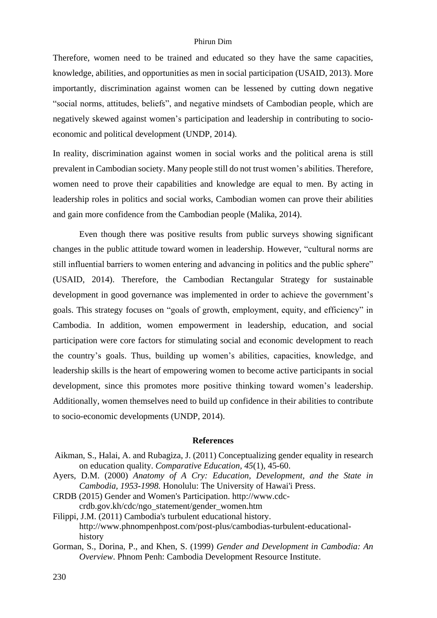Therefore, women need to be trained and educated so they have the same capacities, knowledge, abilities, and opportunities as men in social participation (USAID, 2013). More importantly, discrimination against women can be lessened by cutting down negative "social norms, attitudes, beliefs", and negative mindsets of Cambodian people, which are negatively skewed against women's participation and leadership in contributing to socioeconomic and political development (UNDP, 2014).

In reality, discrimination against women in social works and the political arena is still prevalent in Cambodian society. Many people still do not trust women's abilities. Therefore, women need to prove their capabilities and knowledge are equal to men. By acting in leadership roles in politics and social works, Cambodian women can prove their abilities and gain more confidence from the Cambodian people (Malika, 2014).

Even though there was positive results from public surveys showing significant changes in the public attitude toward women in leadership. However, "cultural norms are still influential barriers to women entering and advancing in politics and the public sphere" (USAID, 2014). Therefore, the Cambodian Rectangular Strategy for sustainable development in good governance was implemented in order to achieve the government's goals. This strategy focuses on "goals of growth, employment, equity, and efficiency" in Cambodia. In addition, women empowerment in leadership, education, and social participation were core factors for stimulating social and economic development to reach the country's goals. Thus, building up women's abilities, capacities, knowledge, and leadership skills is the heart of empowering women to become active participants in social development, since this promotes more positive thinking toward women's leadership. Additionally, women themselves need to build up confidence in their abilities to contribute to socio-economic developments (UNDP, 2014).

### **References**

- Aikman, S., Halai, A. and Rubagiza, J. (2011) Conceptualizing gender equality in research on education quality. *Comparative Education, 45*(1), 45-60.
- Ayers, D.M. (2000) *Anatomy of A Cry: Education, Development, and the State in Cambodia, 1953-1998.* Honolulu: The University of Hawai'i Press.
- CRDB (2015) Gender and Women's Participation. http://www.cdccrdb.gov.kh/cdc/ngo\_statement/gender\_women.htm

Filippi, J.M. (2011) Cambodia's turbulent educational history. http://www.phnompenhpost.com/post-plus/cambodias-turbulent-educationalhistory

Gorman, S., Dorina, P., and Khen, S. (1999) *Gender and Development in Cambodia: An Overview*. Phnom Penh: Cambodia Development Resource Institute.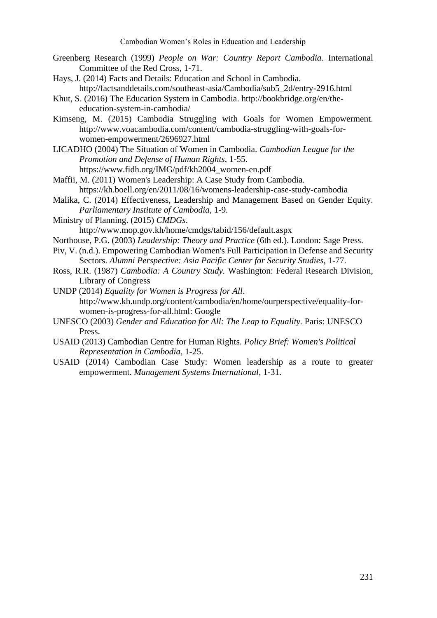- Greenberg Research (1999) *People on War: Country Report Cambodia*. International Committee of the Red Cross, 1-71.
- Hays, J. (2014) Facts and Details: Education and School in Cambodia*.* http://factsanddetails.com/southeast-asia/Cambodia/sub5\_2d/entry-2916.html
- Khut, S. (2016) The Education System in Cambodia. http://bookbridge.org/en/theeducation-system-in-cambodia/
- Kimseng, M. (2015) Cambodia Struggling with Goals for Women Empowerment. http://www.voacambodia.com/content/cambodia-struggling-with-goals-forwomen-empowerment/2696927.html
- LICADHO (2004) The Situation of Women in Cambodia. *Cambodian League for the Promotion and Defense of Human Rights*, 1-55. https://www.fidh.org/IMG/pdf/kh2004\_women-en.pdf
- Maffii, M. (2011) Women's Leadership: A Case Study from Cambodia. https://kh.boell.org/en/2011/08/16/womens-leadership-case-study-cambodia
- Malika, C. (2014) Effectiveness, Leadership and Management Based on Gender Equity. *Parliamentary Institute of Cambodia*, 1-9.
- Ministry of Planning. (2015) *CMDGs*.
	- http://www.mop.gov.kh/home/cmdgs/tabid/156/default.aspx
- Northouse, P.G. (2003) *Leadership: Theory and Practice* (6th ed.). London: Sage Press.
- Piv, V. (n.d.). Empowering Cambodian Women's Full Participation in Defense and Security Sectors. *Alumni Perspective: Asia Pacific Center for Security Studies*, 1-77.
- Ross, R.R. (1987) *Cambodia: A Country Study.* Washington: Federal Research Division, Library of Congress

UNDP (2014) *Equality for Women is Progress for All*. http://www.kh.undp.org/content/cambodia/en/home/ourperspective/equality-forwomen-is-progress-for-all.html: Google

- UNESCO (2003) *Gender and Education for All: The Leap to Equality.* Paris: UNESCO Press.
- USAID (2013) Cambodian Centre for Human Rights. *Policy Brief: Women's Political Representation in Cambodia*, 1-25.
- USAID (2014) Cambodian Case Study: Women leadership as a route to greater empowerment. *Management Systems International*, 1-31.